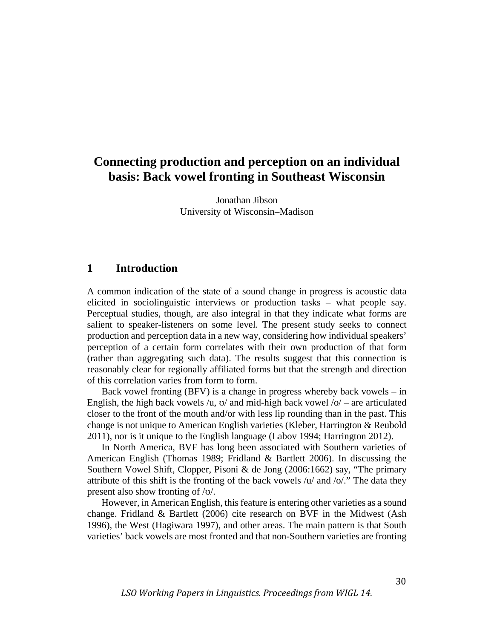# **Connecting production and perception on an individual basis: Back vowel fronting in Southeast Wisconsin**

Jonathan Jibson University of Wisconsin–Madison

# **1 Introduction**

A common indication of the state of a sound change in progress is acoustic data elicited in sociolinguistic interviews or production tasks – what people say. Perceptual studies, though, are also integral in that they indicate what forms are salient to speaker-listeners on some level. The present study seeks to connect production and perception data in a new way, considering how individual speakers' perception of a certain form correlates with their own production of that form (rather than aggregating such data). The results suggest that this connection is reasonably clear for regionally affiliated forms but that the strength and direction of this correlation varies from form to form.

Back vowel fronting  $(BFV)$  is a change in progress whereby back vowels – in English, the high back vowels /u,  $\sigma$  and mid-high back vowel /o/ – are articulated closer to the front of the mouth and/or with less lip rounding than in the past. This change is not unique to American English varieties (Kleber, Harrington & Reubold 2011), nor is it unique to the English language (Labov 1994; Harrington 2012).

In North America, BVF has long been associated with Southern varieties of American English (Thomas 1989; Fridland & Bartlett 2006). In discussing the Southern Vowel Shift, Clopper, Pisoni & de Jong (2006:1662) say, "The primary attribute of this shift is the fronting of the back vowels  $/u$  and  $/o$ ." The data they present also show fronting of /ʊ/.

However, in American English, this feature is entering other varieties as a sound change. Fridland & Bartlett (2006) cite research on BVF in the Midwest (Ash 1996), the West (Hagiwara 1997), and other areas. The main pattern is that South varieties' back vowels are most fronted and that non-Southern varieties are fronting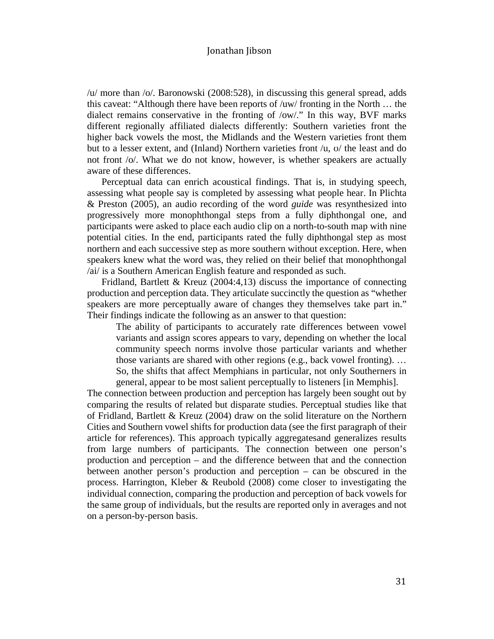/u/ more than /o/. Baronowski (2008:528), in discussing this general spread, adds this caveat: "Although there have been reports of /uw/ fronting in the North … the dialect remains conservative in the fronting of /ow/." In this way, BVF marks different regionally affiliated dialects differently: Southern varieties front the higher back vowels the most, the Midlands and the Western varieties front them but to a lesser extent, and (Inland) Northern varieties front /u, ʊ/ the least and do not front /o/. What we do not know, however, is whether speakers are actually aware of these differences.

Perceptual data can enrich acoustical findings. That is, in studying speech, assessing what people say is completed by assessing what people hear. In Plichta & Preston (2005), an audio recording of the word *guide* was resynthesized into progressively more monophthongal steps from a fully diphthongal one, and participants were asked to place each audio clip on a north-to-south map with nine potential cities. In the end, participants rated the fully diphthongal step as most northern and each successive step as more southern without exception. Here, when speakers knew what the word was, they relied on their belief that monophthongal /ai/ is a Southern American English feature and responded as such.

Fridland, Bartlett & Kreuz (2004:4,13) discuss the importance of connecting production and perception data. They articulate succinctly the question as "whether speakers are more perceptually aware of changes they themselves take part in." Their findings indicate the following as an answer to that question:

The ability of participants to accurately rate differences between vowel variants and assign scores appears to vary, depending on whether the local community speech norms involve those particular variants and whether those variants are shared with other regions (e.g., back vowel fronting). … So, the shifts that affect Memphians in particular, not only Southerners in general, appear to be most salient perceptually to listeners [in Memphis].

The connection between production and perception has largely been sought out by comparing the results of related but disparate studies. Perceptual studies like that of Fridland, Bartlett & Kreuz (2004) draw on the solid literature on the Northern Cities and Southern vowel shifts for production data (see the first paragraph of their article for references). This approach typically aggregatesand generalizes results from large numbers of participants. The connection between one person's production and perception – and the difference between that and the connection between another person's production and perception – can be obscured in the process. Harrington, Kleber & Reubold (2008) come closer to investigating the individual connection, comparing the production and perception of back vowels for the same group of individuals, but the results are reported only in averages and not on a person-by-person basis.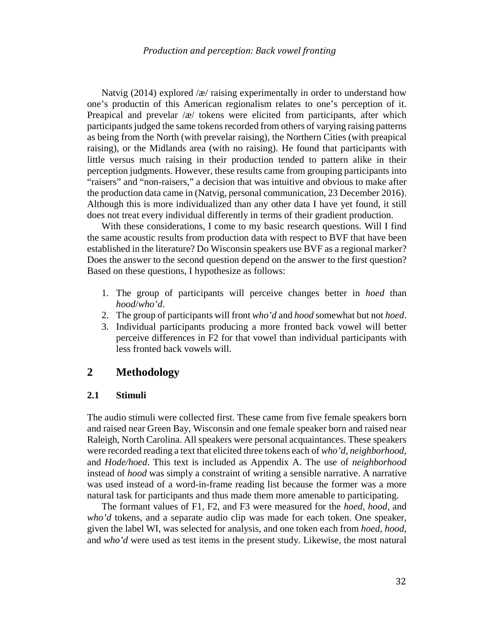Natvig (2014) explored /æ/ raising experimentally in order to understand how one's productin of this American regionalism relates to one's perception of it. Preapical and prevelar /æ/ tokens were elicited from participants, after which participants judged the same tokens recorded from others of varying raising patterns as being from the North (with prevelar raising), the Northern Cities (with preapical raising), or the Midlands area (with no raising). He found that participants with little versus much raising in their production tended to pattern alike in their perception judgments. However, these results came from grouping participants into "raisers" and "non-raisers," a decision that was intuitive and obvious to make after the production data came in (Natvig, personal communication, 23 December 2016). Although this is more individualized than any other data I have yet found, it still does not treat every individual differently in terms of their gradient production.

With these considerations, I come to my basic research questions. Will I find the same acoustic results from production data with respect to BVF that have been established in the literature? Do Wisconsin speakers use BVF as a regional marker? Does the answer to the second question depend on the answer to the first question? Based on these questions, I hypothesize as follows:

- 1. The group of participants will perceive changes better in *hoed* than *hood*/*who'd*.
- 2. The group of participants will front *who'd* and *hood* somewhat but not *hoed*.
- 3. Individual participants producing a more fronted back vowel will better perceive differences in F2 for that vowel than individual participants with less fronted back vowels will.

# **2 Methodology**

#### **2.1 Stimuli**

The audio stimuli were collected first. These came from five female speakers born and raised near Green Bay, Wisconsin and one female speaker born and raised near Raleigh, North Carolina. All speakers were personal acquaintances. These speakers were recorded reading a text that elicited three tokens each of *who'd, neighborhood,* and *Hode/hoed*. This text is included as Appendix A. The use of *neighborhood* instead of *hood* was simply a constraint of writing a sensible narrative. A narrative was used instead of a word-in-frame reading list because the former was a more natural task for participants and thus made them more amenable to participating.

The formant values of F1, F2, and F3 were measured for the *hoed, hood,* and *who'd* tokens, and a separate audio clip was made for each token. One speaker, given the label WI, was selected for analysis, and one token each from *hoed, hood,* and *who'd* were used as test items in the present study. Likewise, the most natural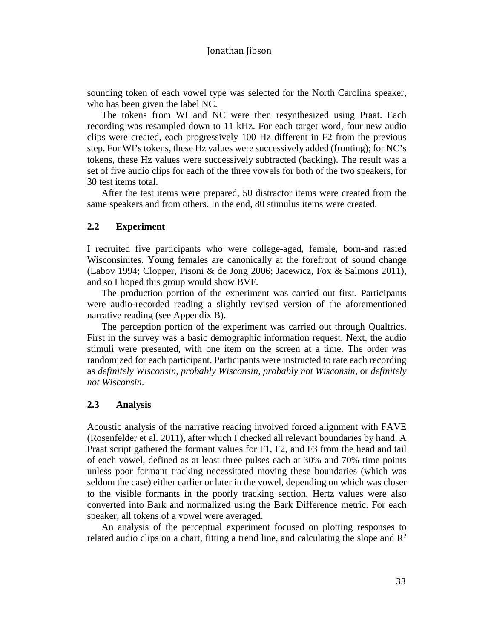sounding token of each vowel type was selected for the North Carolina speaker, who has been given the label NC.

The tokens from WI and NC were then resynthesized using Praat. Each recording was resampled down to 11 kHz. For each target word, four new audio clips were created, each progressively 100 Hz different in F2 from the previous step. For WI's tokens, these Hz values were successively added (fronting); for NC's tokens, these Hz values were successively subtracted (backing). The result was a set of five audio clips for each of the three vowels for both of the two speakers, for 30 test items total.

After the test items were prepared, 50 distractor items were created from the same speakers and from others. In the end, 80 stimulus items were created.

### **2.2 Experiment**

I recruited five participants who were college-aged, female, born-and rasied Wisconsinites. Young females are canonically at the forefront of sound change (Labov 1994; Clopper, Pisoni & de Jong 2006; Jacewicz, Fox & Salmons 2011), and so I hoped this group would show BVF.

The production portion of the experiment was carried out first. Participants were audio-recorded reading a slightly revised version of the aforementioned narrative reading (see Appendix B).

The perception portion of the experiment was carried out through Qualtrics. First in the survey was a basic demographic information request. Next, the audio stimuli were presented, with one item on the screen at a time. The order was randomized for each participant. Participants were instructed to rate each recording as *definitely Wisconsin, probably Wisconsin, probably not Wisconsin*, or *definitely not Wisconsin*.

#### **2.3 Analysis**

Acoustic analysis of the narrative reading involved forced alignment with FAVE (Rosenfelder et al. 2011), after which I checked all relevant boundaries by hand. A Praat script gathered the formant values for F1, F2, and F3 from the head and tail of each vowel, defined as at least three pulses each at 30% and 70% time points unless poor formant tracking necessitated moving these boundaries (which was seldom the case) either earlier or later in the vowel, depending on which was closer to the visible formants in the poorly tracking section. Hertz values were also converted into Bark and normalized using the Bark Difference metric. For each speaker, all tokens of a vowel were averaged.

An analysis of the perceptual experiment focused on plotting responses to related audio clips on a chart, fitting a trend line, and calculating the slope and  $\mathbb{R}^2$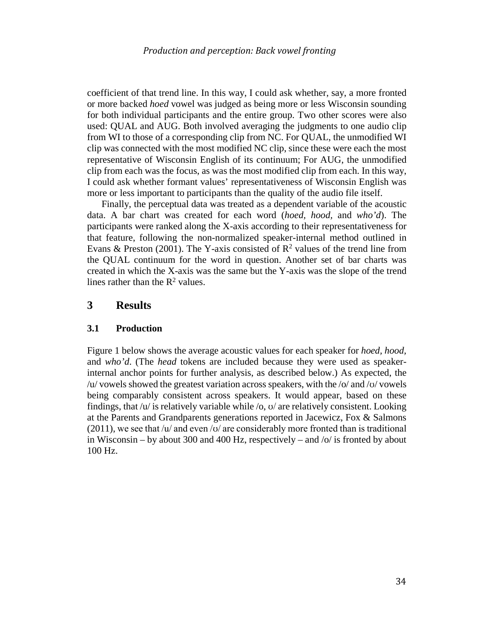coefficient of that trend line. In this way, I could ask whether, say, a more fronted or more backed *hoed* vowel was judged as being more or less Wisconsin sounding for both individual participants and the entire group. Two other scores were also used: QUAL and AUG. Both involved averaging the judgments to one audio clip from WI to those of a corresponding clip from NC. For QUAL, the unmodified WI clip was connected with the most modified NC clip, since these were each the most representative of Wisconsin English of its continuum; For AUG, the unmodified clip from each was the focus, as was the most modified clip from each. In this way, I could ask whether formant values' representativeness of Wisconsin English was more or less important to participants than the quality of the audio file itself.

Finally, the perceptual data was treated as a dependent variable of the acoustic data. A bar chart was created for each word (*hoed, hood,* and *who'd*). The participants were ranked along the X-axis according to their representativeness for that feature, following the non-normalized speaker-internal method outlined in Evans & Preston (2001). The Y-axis consisted of  $\mathbb{R}^2$  values of the trend line from the QUAL continuum for the word in question. Another set of bar charts was created in which the X-axis was the same but the Y-axis was the slope of the trend lines rather than the  $R^2$  values.

### **3 Results**

#### **3.1 Production**

Figure 1 below shows the average acoustic values for each speaker for *hoed, hood,*  and *who'd*. (The *head* tokens are included because they were used as speakerinternal anchor points for further analysis, as described below.) As expected, the /u/ vowels showed the greatest variation across speakers, with the /o/ and /ʊ/ vowels being comparably consistent across speakers. It would appear, based on these findings, that  $\sqrt{u}$  is relatively variable while  $\sqrt{o}$ ,  $\sigma$  are relatively consistent. Looking at the Parents and Grandparents generations reported in Jacewicz, Fox & Salmons  $(2011)$ , we see that /u/ and even /o/ are considerably more fronted than is traditional in Wisconsin – by about 300 and 400 Hz, respectively – and  $\sqrt{\frac{1}{2}}$  fronted by about 100 Hz.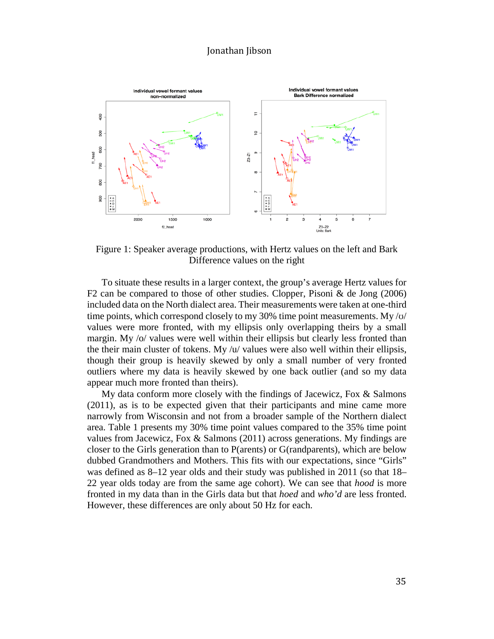

Figure 1: Speaker average productions, with Hertz values on the left and Bark Difference values on the right

To situate these results in a larger context, the group's average Hertz values for F2 can be compared to those of other studies. Clopper, Pisoni & de Jong (2006) included data on the North dialect area. Their measurements were taken at one-third time points, which correspond closely to my 30% time point measurements. My/ $\sigma$ / values were more fronted, with my ellipsis only overlapping theirs by a small margin. My /o/ values were well within their ellipsis but clearly less fronted than the their main cluster of tokens. My /u/ values were also well within their ellipsis, though their group is heavily skewed by only a small number of very fronted outliers where my data is heavily skewed by one back outlier (and so my data appear much more fronted than theirs).

My data conform more closely with the findings of Jacewicz, Fox  $\&$  Salmons (2011), as is to be expected given that their participants and mine came more narrowly from Wisconsin and not from a broader sample of the Northern dialect area. Table 1 presents my 30% time point values compared to the 35% time point values from Jacewicz, Fox & Salmons (2011) across generations. My findings are closer to the Girls generation than to P(arents) or G(randparents), which are below dubbed Grandmothers and Mothers. This fits with our expectations, since "Girls" was defined as 8–12 year olds and their study was published in 2011 (so that 18– 22 year olds today are from the same age cohort). We can see that *hood* is more fronted in my data than in the Girls data but that *hoed* and *who'd* are less fronted. However, these differences are only about 50 Hz for each.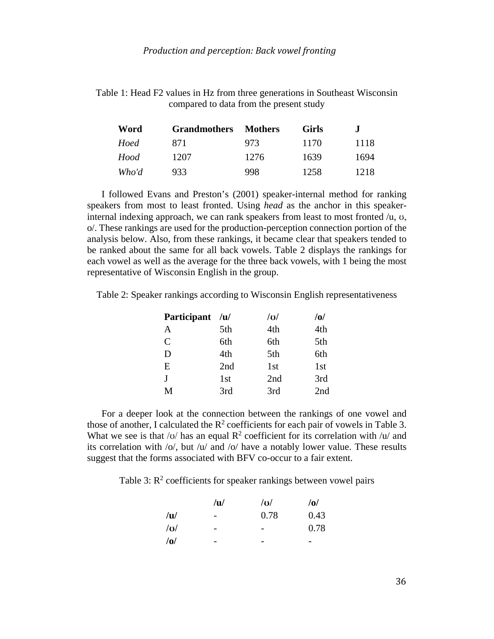Table 1: Head F2 values in Hz from three generations in Southeast Wisconsin compared to data from the present study

| Word  | <b>Grandmothers</b> | <b>Mothers</b> | <b>Girls</b> | J    |
|-------|---------------------|----------------|--------------|------|
| Hoed  | 871                 | 973            | 1170         | 1118 |
| Hood  | 1207                | 1276           | 1639         | 1694 |
| Who'd | 933.                | 998            | 1258         | 1218 |

I followed Evans and Preston's (2001) speaker-internal method for ranking speakers from most to least fronted. Using *head* as the anchor in this speakerinternal indexing approach, we can rank speakers from least to most fronted  $/u$ ,  $v$ , o/. These rankings are used for the production-perception connection portion of the analysis below. Also, from these rankings, it became clear that speakers tended to be ranked about the same for all back vowels. Table 2 displays the rankings for each vowel as well as the average for the three back vowels, with 1 being the most representative of Wisconsin English in the group.

Table 2: Speaker rankings according to Wisconsin English representativeness

| Participant /u/ |     | $ {\bf u} $     | /0/ |
|-----------------|-----|-----------------|-----|
| A               | 5th | 4th             | 4th |
| $\mathcal{C}$   | 6th | 6th             | 5th |
| D               | 4th | 5th             | 6th |
| E               | 2nd | 1 <sub>st</sub> | 1st |
| $\mathbf I$     | 1st | 2nd             | 3rd |
| M               | 3rd | 3rd             | 2nd |

For a deeper look at the connection between the rankings of one vowel and those of another, I calculated the  $R^2$  coefficients for each pair of vowels in Table 3. What we see is that /v/ has an equal  $\mathbb{R}^2$  coefficient for its correlation with /u/ and its correlation with  $\overline{\frac{1}{2}}$  /o, but  $\overline{\frac{1}{2}}$  /o have a notably lower value. These results suggest that the forms associated with BFV co-occur to a fair extent.

Table 3:  $R^2$  coefficients for speaker rankings between vowel pairs

|     | u | $ {\bf 0} $ | /0/                      |
|-----|---|-------------|--------------------------|
| /u/ | - | 0.78        | 0.43                     |
| U   | - | -           | 0.78                     |
| /0/ | - |             | $\overline{\phantom{0}}$ |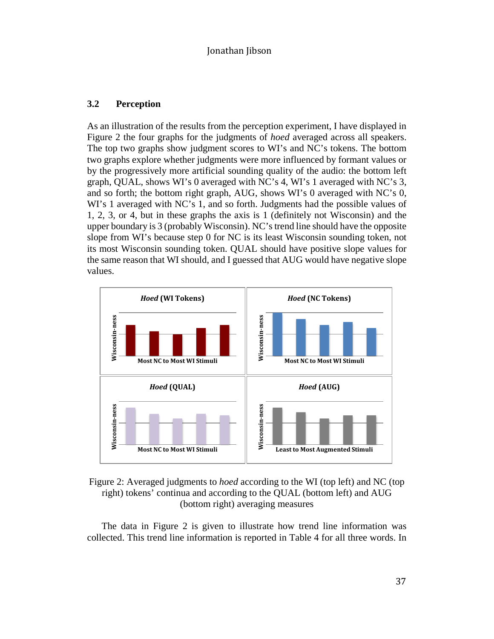#### **3.2 Perception**

As an illustration of the results from the perception experiment, I have displayed in Figure 2 the four graphs for the judgments of *hoed* averaged across all speakers. The top two graphs show judgment scores to WI's and NC's tokens. The bottom two graphs explore whether judgments were more influenced by formant values or by the progressively more artificial sounding quality of the audio: the bottom left graph, QUAL, shows WI's 0 averaged with NC's 4, WI's 1 averaged with NC's 3, and so forth; the bottom right graph, AUG, shows WI's 0 averaged with NC's 0, WI's 1 averaged with NC's 1, and so forth. Judgments had the possible values of 1, 2, 3, or 4, but in these graphs the axis is 1 (definitely not Wisconsin) and the upper boundary is 3 (probably Wisconsin). NC's trend line should have the opposite slope from WI's because step 0 for NC is its least Wisconsin sounding token, not its most Wisconsin sounding token. QUAL should have positive slope values for the same reason that WI should, and I guessed that AUG would have negative slope values.





The data in Figure 2 is given to illustrate how trend line information was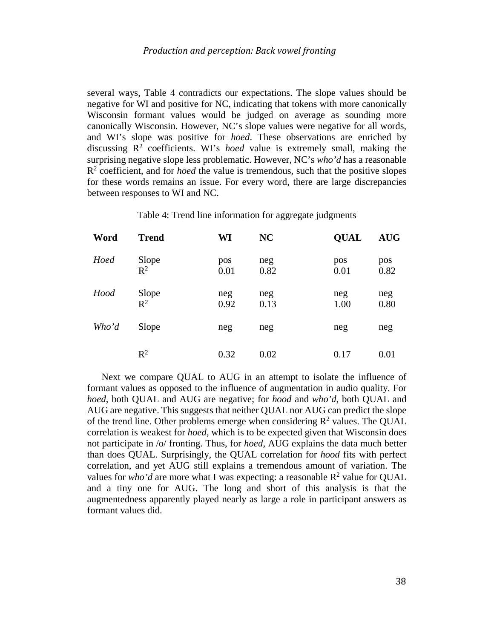several ways, Table 4 contradicts our expectations. The slope values should be negative for WI and positive for NC, indicating that tokens with more canonically Wisconsin formant values would be judged on average as sounding more canonically Wisconsin. However, NC's slope values were negative for all words, and WI's slope was positive for *hoed*. These observations are enriched by discussing  $\mathbb{R}^2$  coefficients. WI's *hoed* value is extremely small, making the surprising negative slope less problematic. However, NC's *who'd* has a reasonable R2 coefficient, and for *hoed* the value is tremendous, such that the positive slopes for these words remains an issue. For every word, there are large discrepancies between responses to WI and NC.

| Table 4: Trend line information for aggregate judgments |  |  |  |
|---------------------------------------------------------|--|--|--|
|                                                         |  |  |  |

| Word  | <b>Trend</b>   | WI          | <b>NC</b>   | <b>QUAL</b> | <b>AUG</b>  |
|-------|----------------|-------------|-------------|-------------|-------------|
| Hoed  | Slope<br>$R^2$ | pos<br>0.01 | neg<br>0.82 | pos<br>0.01 | pos<br>0.82 |
| Hood  | Slope<br>$R^2$ | neg<br>0.92 | neg<br>0.13 | neg<br>1.00 | neg<br>0.80 |
| Who'd | Slope          | neg         | neg         | neg         | neg         |
|       | $R^2$          | 0.32        | 0.02        | 0.17        | 0.01        |

Next we compare QUAL to AUG in an attempt to isolate the influence of formant values as opposed to the influence of augmentation in audio quality. For *hoed*, both QUAL and AUG are negative; for *hood* and *who'd*, both QUAL and AUG are negative. This suggests that neither QUAL nor AUG can predict the slope of the trend line. Other problems emerge when considering  $\mathbb{R}^2$  values. The QUAL correlation is weakest for *hoed*, which is to be expected given that Wisconsin does not participate in /o/ fronting. Thus, for *hoed*, AUG explains the data much better than does QUAL. Surprisingly, the QUAL correlation for *hood* fits with perfect correlation, and yet AUG still explains a tremendous amount of variation. The values for *who'd* are more what I was expecting: a reasonable  $\mathbb{R}^2$  value for QUAL and a tiny one for AUG. The long and short of this analysis is that the augmentedness apparently played nearly as large a role in participant answers as formant values did.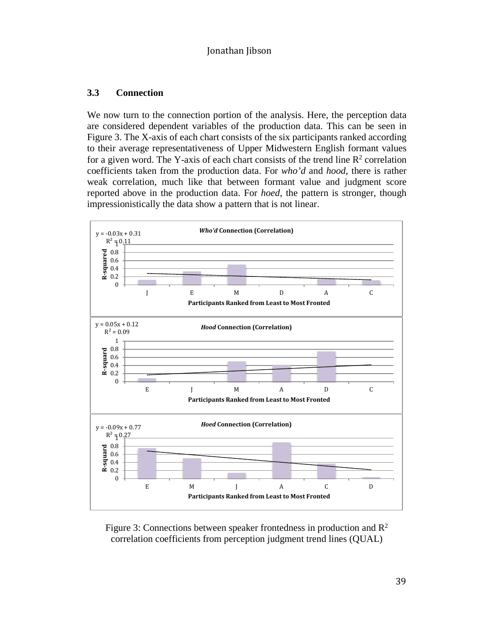### **3.3 Connection**

We now turn to the connection portion of the analysis. Here, the perception data are considered dependent variables of the production data. This can be seen in Figure 3. The X-axis of each chart consists of the six participants ranked according to their average representativeness of Upper Midwestern English formant values for a given word. The Y-axis of each chart consists of the trend line  $\mathbb{R}^2$  correlation coefficients taken from the production data. For *who'd* and *hood*, there is rather weak correlation, much like that between formant value and judgment score reported above in the production data. For *hoed*, the pattern is stronger, though impressionistically the data show a pattern that is not linear.



Figure 3: Connections between speaker frontedness in production and  $\mathbb{R}^2$ correlation coefficients from perception judgment trend lines (QUAL)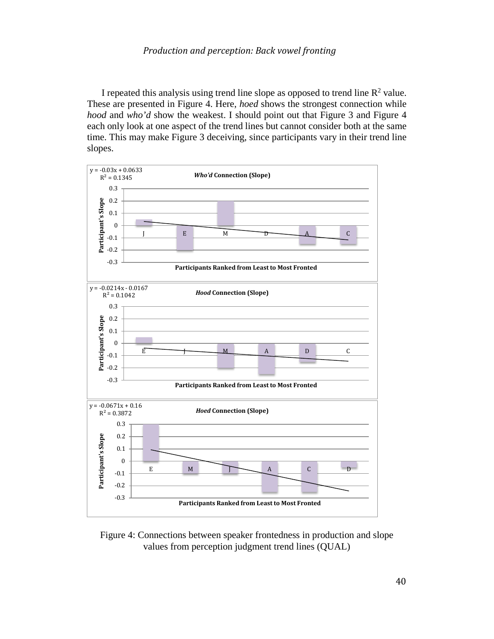I repeated this analysis using trend line slope as opposed to trend line  $\mathbb{R}^2$  value. These are presented in Figure 4. Here, *hoed* shows the strongest connection while *hood* and *who'd* show the weakest. I should point out that Figure 3 and Figure 4 each only look at one aspect of the trend lines but cannot consider both at the same time. This may make Figure 3 deceiving, since participants vary in their trend line slopes.



Figure 4: Connections between speaker frontedness in production and slope values from perception judgment trend lines (QUAL)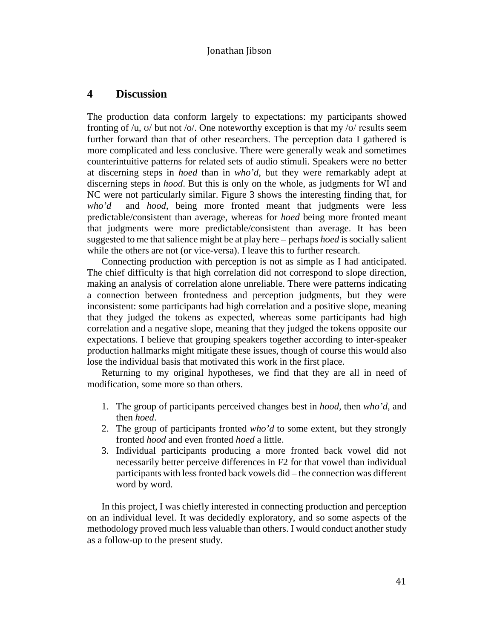# **4 Discussion**

The production data conform largely to expectations: my participants showed fronting of /u,  $\sigma$ / but not /o/. One noteworthy exception is that my / $\sigma$ / results seem further forward than that of other researchers. The perception data I gathered is more complicated and less conclusive. There were generally weak and sometimes counterintuitive patterns for related sets of audio stimuli. Speakers were no better at discerning steps in *hoed* than in *who'd*, but they were remarkably adept at discerning steps in *hood*. But this is only on the whole, as judgments for WI and NC were not particularly similar. Figure 3 shows the interesting finding that, for *who'd* and *hood*, being more fronted meant that judgments were less predictable/consistent than average, whereas for *hoed* being more fronted meant that judgments were more predictable/consistent than average. It has been suggested to me that salience might be at play here – perhaps *hoed* is socially salient while the others are not (or vice-versa). I leave this to further research.

Connecting production with perception is not as simple as I had anticipated. The chief difficulty is that high correlation did not correspond to slope direction, making an analysis of correlation alone unreliable. There were patterns indicating a connection between frontedness and perception judgments, but they were inconsistent: some participants had high correlation and a positive slope, meaning that they judged the tokens as expected, whereas some participants had high correlation and a negative slope, meaning that they judged the tokens opposite our expectations. I believe that grouping speakers together according to inter-speaker production hallmarks might mitigate these issues, though of course this would also lose the individual basis that motivated this work in the first place.

Returning to my original hypotheses, we find that they are all in need of modification, some more so than others.

- 1. The group of participants perceived changes best in *hood,* then *who'd*, and then *hoed*.
- 2. The group of participants fronted *who'd* to some extent, but they strongly fronted *hood* and even fronted *hoed* a little.
- 3. Individual participants producing a more fronted back vowel did not necessarily better perceive differences in F2 for that vowel than individual participants with less fronted back vowels did – the connection was different word by word.

In this project, I was chiefly interested in connecting production and perception on an individual level. It was decidedly exploratory, and so some aspects of the methodology proved much less valuable than others. I would conduct another study as a follow-up to the present study.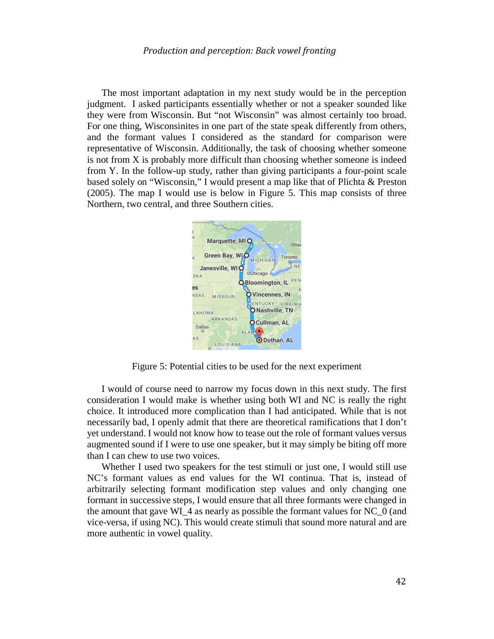The most important adaptation in my next study would be in the perception judgment. I asked participants essentially whether or not a speaker sounded like they were from Wisconsin. But "not Wisconsin" was almost certainly too broad. For one thing, Wisconsinites in one part of the state speak differently from others, and the formant values I considered as the standard for comparison were representative of Wisconsin. Additionally, the task of choosing whether someone is not from X is probably more difficult than choosing whether someone is indeed from Y. In the follow-up study, rather than giving participants a four-point scale based solely on "Wisconsin," I would present a map like that of Plichta & Preston (2005). The map I would use is below in Figure 5. This map consists of three Northern, two central, and three Southern cities.



Figure 5: Potential cities to be used for the next experiment

I would of course need to narrow my focus down in this next study. The first consideration I would make is whether using both WI and NC is really the right choice. It introduced more complication than I had anticipated. While that is not necessarily bad, I openly admit that there are theoretical ramifications that I don't yet understand. I would not know how to tease out the role of formant values versus augmented sound if I were to use one speaker, but it may simply be biting off more than I can chew to use two voices.

Whether I used two speakers for the test stimuli or just one, I would still use NC's formant values as end values for the WI continua. That is, instead of arbitrarily selecting formant modification step values and only changing one formant in successive steps, I would ensure that all three formants were changed in the amount that gave WI\_4 as nearly as possible the formant values for NC\_0 (and vice-versa, if using NC). This would create stimuli that sound more natural and are more authentic in vowel quality.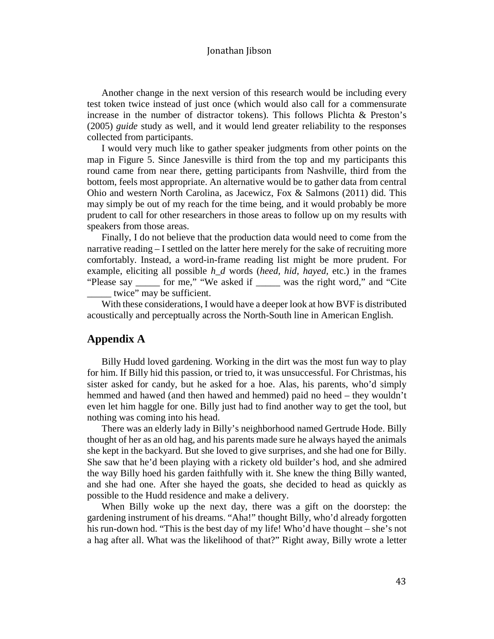Another change in the next version of this research would be including every test token twice instead of just once (which would also call for a commensurate increase in the number of distractor tokens). This follows Plichta & Preston's (2005) *guide* study as well, and it would lend greater reliability to the responses collected from participants.

I would very much like to gather speaker judgments from other points on the map in Figure 5. Since Janesville is third from the top and my participants this round came from near there, getting participants from Nashville, third from the bottom, feels most appropriate. An alternative would be to gather data from central Ohio and western North Carolina, as Jacewicz, Fox & Salmons (2011) did. This may simply be out of my reach for the time being, and it would probably be more prudent to call for other researchers in those areas to follow up on my results with speakers from those areas.

Finally, I do not believe that the production data would need to come from the narrative reading – I settled on the latter here merely for the sake of recruiting more comfortably. Instead, a word-in-frame reading list might be more prudent. For example, eliciting all possible *h\_d* words (*heed, hid, hayed,* etc.) in the frames "Please say \_\_\_\_\_ for me," "We asked if \_\_\_\_\_ was the right word," and "Cite twice" may be sufficient.

With these considerations, I would have a deeper look at how BVF is distributed acoustically and perceptually across the North-South line in American English.

# **Appendix A**

Billy Hudd loved gardening. Working in the dirt was the most fun way to play for him. If Billy hid this passion, or tried to, it was unsuccessful. For Christmas, his sister asked for candy, but he asked for a hoe. Alas, his parents, who'd simply hemmed and hawed (and then hawed and hemmed) paid no heed – they wouldn't even let him haggle for one. Billy just had to find another way to get the tool, but nothing was coming into his head.

There was an elderly lady in Billy's neighborhood named Gertrude Hode. Billy thought of her as an old hag, and his parents made sure he always hayed the animals she kept in the backyard. But she loved to give surprises, and she had one for Billy. She saw that he'd been playing with a rickety old builder's hod, and she admired the way Billy hoed his garden faithfully with it. She knew the thing Billy wanted, and she had one. After she hayed the goats, she decided to head as quickly as possible to the Hudd residence and make a delivery.

When Billy woke up the next day, there was a gift on the doorstep: the gardening instrument of his dreams. "Aha!" thought Billy, who'd already forgotten his run-down hod. "This is the best day of my life! Who'd have thought – she's not a hag after all. What was the likelihood of that?" Right away, Billy wrote a letter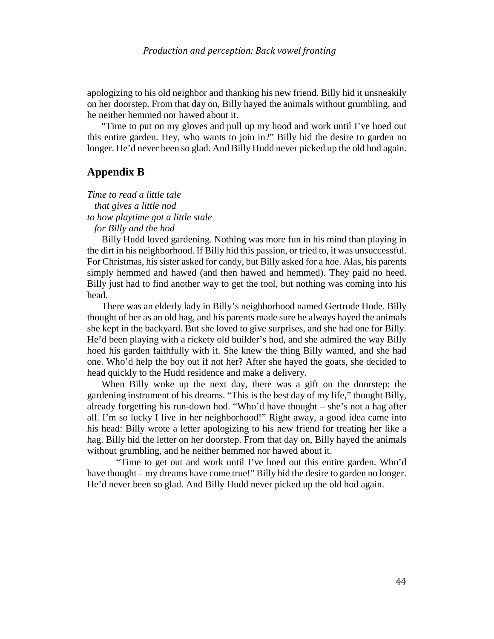apologizing to his old neighbor and thanking his new friend. Billy hid it unsneakily on her doorstep. From that day on, Billy hayed the animals without grumbling, and he neither hemmed nor hawed about it.

"Time to put on my gloves and pull up my hood and work until I've hoed out this entire garden. Hey, who wants to join in?" Billy hid the desire to garden no longer. He'd never been so glad. And Billy Hudd never picked up the old hod again.

# **Appendix B**

*Time to read a little tale that gives a little nod to how playtime got a little stale for Billy and the hod*

Billy Hudd loved gardening. Nothing was more fun in his mind than playing in the dirt in his neighborhood. If Billy hid this passion, or tried to, it was unsuccessful. For Christmas, his sister asked for candy, but Billy asked for a hoe. Alas, his parents simply hemmed and hawed (and then hawed and hemmed). They paid no heed. Billy just had to find another way to get the tool, but nothing was coming into his head.

There was an elderly lady in Billy's neighborhood named Gertrude Hode. Billy thought of her as an old hag, and his parents made sure he always hayed the animals she kept in the backyard. But she loved to give surprises, and she had one for Billy. He'd been playing with a rickety old builder's hod, and she admired the way Billy hoed his garden faithfully with it. She knew the thing Billy wanted, and she had one. Who'd help the boy out if not her? After she hayed the goats, she decided to head quickly to the Hudd residence and make a delivery.

When Billy woke up the next day, there was a gift on the doorstep: the gardening instrument of his dreams. "This is the best day of my life," thought Billy, already forgetting his run-down hod. "Who'd have thought – she's not a hag after all. I'm so lucky I live in her neighborhood!" Right away, a good idea came into his head: Billy wrote a letter apologizing to his new friend for treating her like a hag. Billy hid the letter on her doorstep. From that day on, Billy hayed the animals without grumbling, and he neither hemmed nor hawed about it.

"Time to get out and work until I've hoed out this entire garden. Who'd have thought – my dreams have come true!" Billy hid the desire to garden no longer. He'd never been so glad. And Billy Hudd never picked up the old hod again.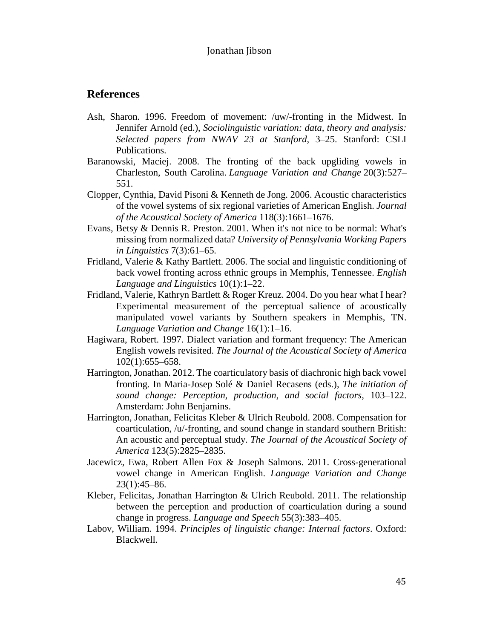### **References**

- Ash, Sharon. 1996. Freedom of movement: /uw/-fronting in the Midwest. In Jennifer Arnold (ed.), *Sociolinguistic variation: data, theory and analysis: Selected papers from NWAV 23 at Stanford*, 3–25. Stanford: CSLI Publications.
- Baranowski, Maciej. 2008. The fronting of the back upgliding vowels in Charleston, South Carolina. *Language Variation and Change* 20(3):527– 551.
- Clopper, Cynthia, David Pisoni & Kenneth de Jong. 2006. Acoustic characteristics of the vowel systems of six regional varieties of American English. *Journal of the Acoustical Society of America* 118(3):1661–1676.
- Evans, Betsy & Dennis R. Preston. 2001. When it's not nice to be normal: What's missing from normalized data? *University of Pennsylvania Working Papers in Linguistics* 7(3):61–65.
- Fridland, Valerie & Kathy Bartlett. 2006. The social and linguistic conditioning of back vowel fronting across ethnic groups in Memphis, Tennessee. *English Language and Linguistics* 10(1):1–22.
- Fridland, Valerie, Kathryn Bartlett & Roger Kreuz. 2004. Do you hear what I hear? Experimental measurement of the perceptual salience of acoustically manipulated vowel variants by Southern speakers in Memphis, TN. *Language Variation and Change* 16(1):1–16.
- Hagiwara, Robert. 1997. Dialect variation and formant frequency: The American English vowels revisited. *The Journal of the Acoustical Society of America* 102(1):655–658.
- Harrington, Jonathan. 2012. The coarticulatory basis of diachronic high back vowel fronting. In Maria-Josep Solé & Daniel Recasens (eds.), *The initiation of sound change: Perception, production, and social factors*, 103–122. Amsterdam: John Benjamins.
- Harrington, Jonathan, Felicitas Kleber & Ulrich Reubold. 2008. Compensation for coarticulation, /u/-fronting, and sound change in standard southern British: An acoustic and perceptual study. *The Journal of the Acoustical Society of America* 123(5):2825–2835.
- Jacewicz, Ewa, Robert Allen Fox & Joseph Salmons. 2011. Cross-generational vowel change in American English. *Language Variation and Change* 23(1):45–86.
- Kleber, Felicitas, Jonathan Harrington & Ulrich Reubold. 2011. The relationship between the perception and production of coarticulation during a sound change in progress. *Language and Speech* 55(3):383–405.
- Labov, William. 1994. *Principles of linguistic change: Internal factors*. Oxford: Blackwell.